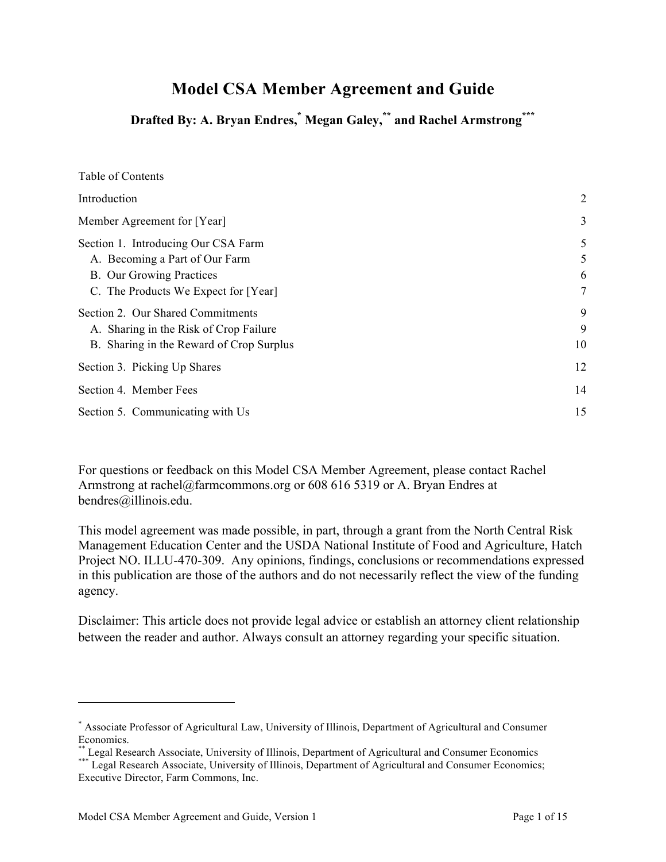# **Model CSA Member Agreement and Guide**

**Drafted By: A. Bryan Endres, \* Megan Galey,\*\* and Rachel Armstrong\*\*\***

| Table of Contents                                                                                                                                |                  |
|--------------------------------------------------------------------------------------------------------------------------------------------------|------------------|
| Introduction                                                                                                                                     | $\overline{2}$   |
| Member Agreement for [Year]                                                                                                                      | 3                |
| Section 1. Introducing Our CSA Farm<br>A. Becoming a Part of Our Farm<br><b>B.</b> Our Growing Practices<br>C. The Products We Expect for [Year] | 5<br>5<br>6<br>7 |
| Section 2. Our Shared Commitments<br>A. Sharing in the Risk of Crop Failure<br>B. Sharing in the Reward of Crop Surplus                          | 9<br>9<br>10     |
| Section 3. Picking Up Shares                                                                                                                     | 12               |
| Section 4. Member Fees                                                                                                                           | 14               |
| Section 5. Communicating with Us                                                                                                                 | 15               |

For questions or feedback on this Model CSA Member Agreement, please contact Rachel Armstrong at rachel@farmcommons.org or 608 616 5319 or A. Bryan Endres at bendres@illinois.edu.

This model agreement was made possible, in part, through a grant from the North Central Risk Management Education Center and the USDA National Institute of Food and Agriculture, Hatch Project NO. ILLU-470-309. Any opinions, findings, conclusions or recommendations expressed in this publication are those of the authors and do not necessarily reflect the view of the funding agency.

Disclaimer: This article does not provide legal advice or establish an attorney client relationship between the reader and author. Always consult an attorney regarding your specific situation.

l

<sup>\*</sup> Associate Professor of Agricultural Law, University of Illinois, Department of Agricultural and Consumer Economics.

<sup>\*\*</sup> Legal Research Associate, University of Illinois, Department of Agricultural and Consumer Economics \*\*\* Legal Research Associate, University of Illinois, Department of Agricultural and Consumer Economics; Executive Director, Farm Commons, Inc.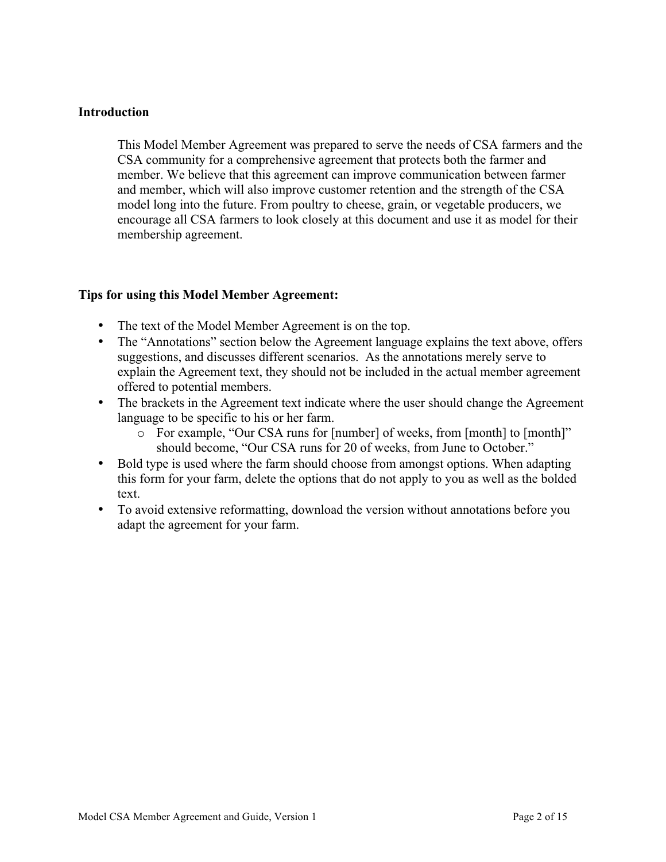### **Introduction**

This Model Member Agreement was prepared to serve the needs of CSA farmers and the CSA community for a comprehensive agreement that protects both the farmer and member. We believe that this agreement can improve communication between farmer and member, which will also improve customer retention and the strength of the CSA model long into the future. From poultry to cheese, grain, or vegetable producers, we encourage all CSA farmers to look closely at this document and use it as model for their membership agreement.

# **Tips for using this Model Member Agreement:**

- The text of the Model Member Agreement is on the top.
- The "Annotations" section below the Agreement language explains the text above, offers suggestions, and discusses different scenarios. As the annotations merely serve to explain the Agreement text, they should not be included in the actual member agreement offered to potential members.
- The brackets in the Agreement text indicate where the user should change the Agreement language to be specific to his or her farm.
	- o For example, "Our CSA runs for [number] of weeks, from [month] to [month]" should become, "Our CSA runs for 20 of weeks, from June to October."
- Bold type is used where the farm should choose from amongst options. When adapting this form for your farm, delete the options that do not apply to you as well as the bolded text.
- To avoid extensive reformatting, download the version without annotations before you adapt the agreement for your farm.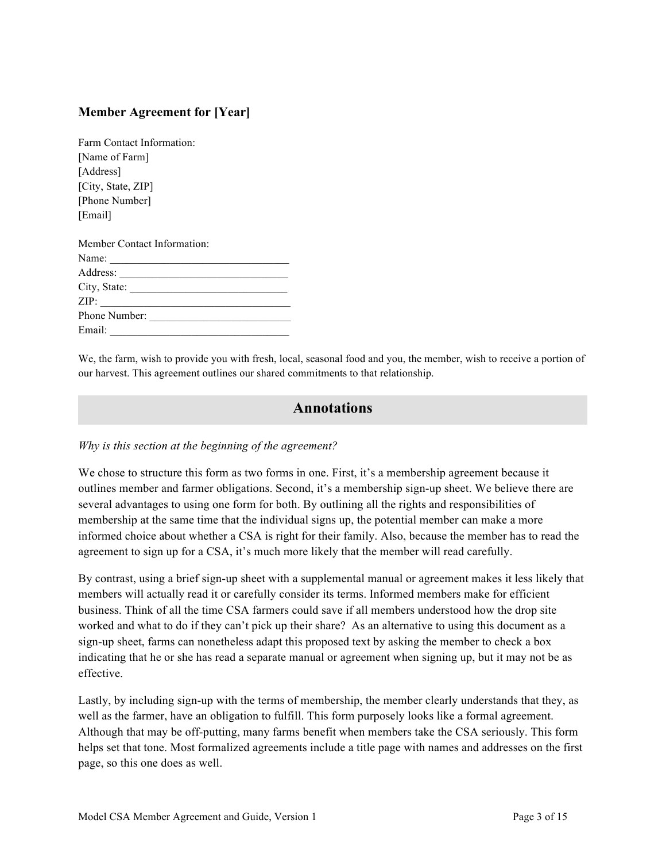# **Member Agreement for [Year]**

| Farm Contact Information:   |
|-----------------------------|
| [Name of Farm]              |
| [Address]                   |
| [City, State, ZIP]          |
| [Phone Number]              |
| [Email]                     |
|                             |
|                             |
| Member Contact Information: |
|                             |
| Name: $\qquad \qquad$       |
| City, State:                |
| ZIP:                        |
| Phone Number:               |

We, the farm, wish to provide you with fresh, local, seasonal food and you, the member, wish to receive a portion of our harvest. This agreement outlines our shared commitments to that relationship.

# **Annotations**

#### *Why is this section at the beginning of the agreement?*

We chose to structure this form as two forms in one. First, it's a membership agreement because it outlines member and farmer obligations. Second, it's a membership sign-up sheet. We believe there are several advantages to using one form for both. By outlining all the rights and responsibilities of membership at the same time that the individual signs up, the potential member can make a more informed choice about whether a CSA is right for their family. Also, because the member has to read the agreement to sign up for a CSA, it's much more likely that the member will read carefully.

By contrast, using a brief sign-up sheet with a supplemental manual or agreement makes it less likely that members will actually read it or carefully consider its terms. Informed members make for efficient business. Think of all the time CSA farmers could save if all members understood how the drop site worked and what to do if they can't pick up their share? As an alternative to using this document as a sign-up sheet, farms can nonetheless adapt this proposed text by asking the member to check a box indicating that he or she has read a separate manual or agreement when signing up, but it may not be as effective.

Lastly, by including sign-up with the terms of membership, the member clearly understands that they, as well as the farmer, have an obligation to fulfill. This form purposely looks like a formal agreement. Although that may be off-putting, many farms benefit when members take the CSA seriously. This form helps set that tone. Most formalized agreements include a title page with names and addresses on the first page, so this one does as well.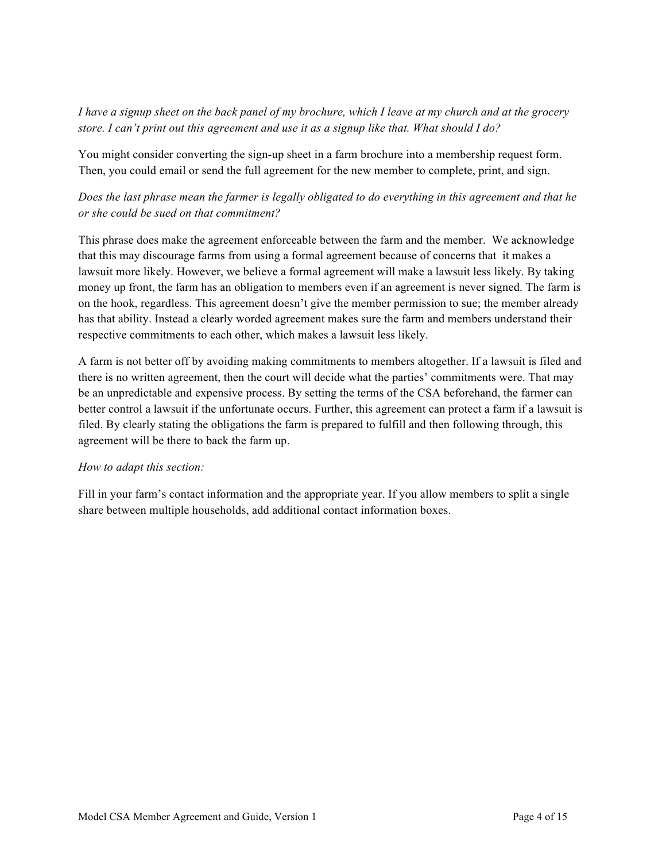*I have a signup sheet on the back panel of my brochure, which I leave at my church and at the grocery store. I can't print out this agreement and use it as a signup like that. What should I do?*

You might consider converting the sign-up sheet in a farm brochure into a membership request form. Then, you could email or send the full agreement for the new member to complete, print, and sign.

# *Does the last phrase mean the farmer is legally obligated to do everything in this agreement and that he or she could be sued on that commitment?*

This phrase does make the agreement enforceable between the farm and the member. We acknowledge that this may discourage farms from using a formal agreement because of concerns that it makes a lawsuit more likely. However, we believe a formal agreement will make a lawsuit less likely. By taking money up front, the farm has an obligation to members even if an agreement is never signed. The farm is on the hook, regardless. This agreement doesn't give the member permission to sue; the member already has that ability. Instead a clearly worded agreement makes sure the farm and members understand their respective commitments to each other, which makes a lawsuit less likely.

A farm is not better off by avoiding making commitments to members altogether. If a lawsuit is filed and there is no written agreement, then the court will decide what the parties' commitments were. That may be an unpredictable and expensive process. By setting the terms of the CSA beforehand, the farmer can better control a lawsuit if the unfortunate occurs. Further, this agreement can protect a farm if a lawsuit is filed. By clearly stating the obligations the farm is prepared to fulfill and then following through, this agreement will be there to back the farm up.

### *How to adapt this section:*

Fill in your farm's contact information and the appropriate year. If you allow members to split a single share between multiple households, add additional contact information boxes.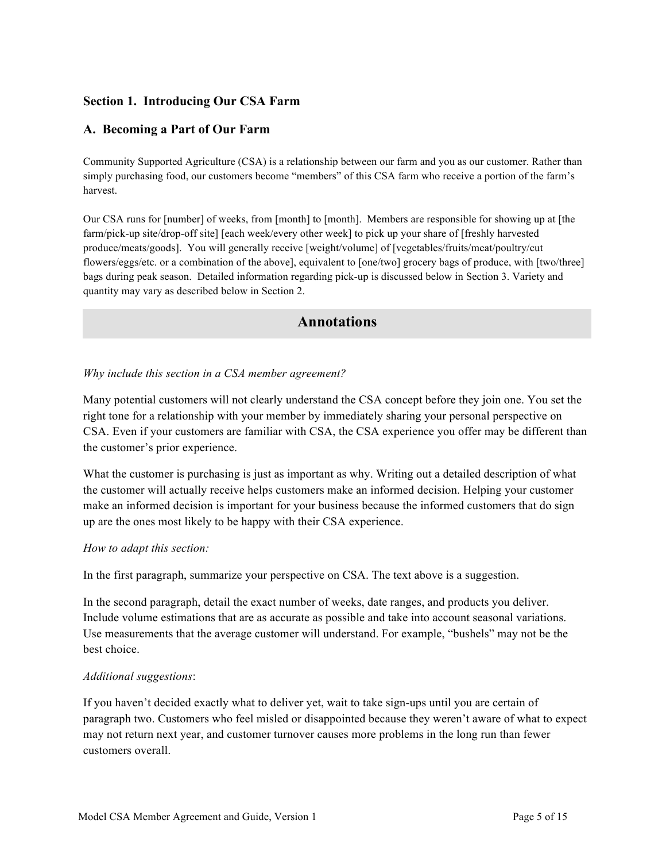# **Section 1. Introducing Our CSA Farm**

# **A. Becoming a Part of Our Farm**

Community Supported Agriculture (CSA) is a relationship between our farm and you as our customer. Rather than simply purchasing food, our customers become "members" of this CSA farm who receive a portion of the farm's harvest.

Our CSA runs for [number] of weeks, from [month] to [month]. Members are responsible for showing up at [the farm/pick-up site/drop-off site] [each week/every other week] to pick up your share of [freshly harvested produce/meats/goods]. You will generally receive [weight/volume] of [vegetables/fruits/meat/poultry/cut flowers/eggs/etc. or a combination of the above], equivalent to [one/two] grocery bags of produce, with [two/three] bags during peak season. Detailed information regarding pick-up is discussed below in Section 3. Variety and quantity may vary as described below in Section 2.

# **Annotations**

### *Why include this section in a CSA member agreement?*

Many potential customers will not clearly understand the CSA concept before they join one. You set the right tone for a relationship with your member by immediately sharing your personal perspective on CSA. Even if your customers are familiar with CSA, the CSA experience you offer may be different than the customer's prior experience.

What the customer is purchasing is just as important as why. Writing out a detailed description of what the customer will actually receive helps customers make an informed decision. Helping your customer make an informed decision is important for your business because the informed customers that do sign up are the ones most likely to be happy with their CSA experience.

### *How to adapt this section:*

In the first paragraph, summarize your perspective on CSA. The text above is a suggestion.

In the second paragraph, detail the exact number of weeks, date ranges, and products you deliver. Include volume estimations that are as accurate as possible and take into account seasonal variations. Use measurements that the average customer will understand. For example, "bushels" may not be the best choice.

### *Additional suggestions*:

If you haven't decided exactly what to deliver yet, wait to take sign-ups until you are certain of paragraph two. Customers who feel misled or disappointed because they weren't aware of what to expect may not return next year, and customer turnover causes more problems in the long run than fewer customers overall.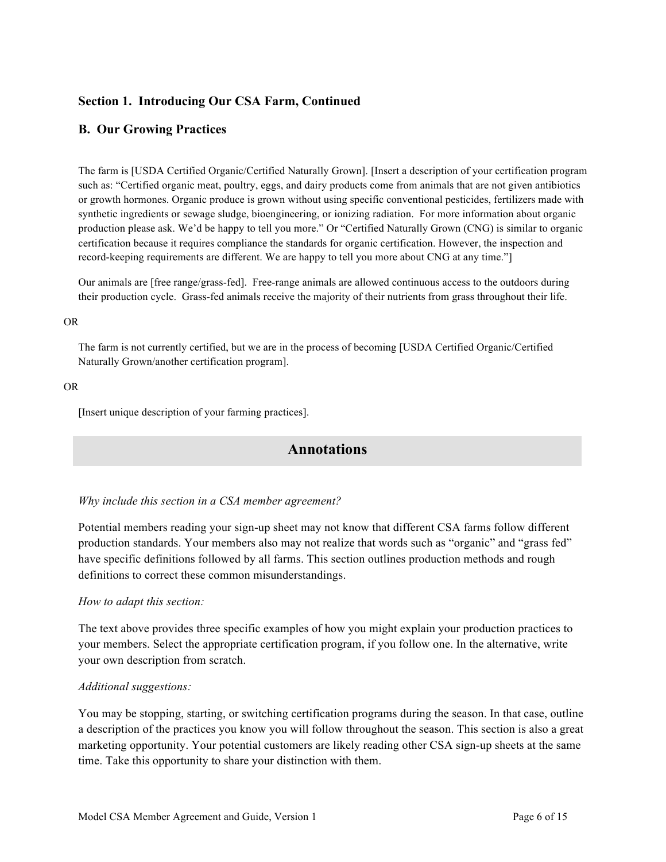# **Section 1. Introducing Our CSA Farm, Continued**

### **B. Our Growing Practices**

The farm is [USDA Certified Organic/Certified Naturally Grown]. [Insert a description of your certification program such as: "Certified organic meat, poultry, eggs, and dairy products come from animals that are not given antibiotics or growth hormones. Organic produce is grown without using specific conventional pesticides, fertilizers made with synthetic ingredients or sewage sludge, bioengineering, or ionizing radiation. For more information about organic production please ask. We'd be happy to tell you more." Or "Certified Naturally Grown (CNG) is similar to organic certification because it requires compliance the standards for organic certification. However, the inspection and record-keeping requirements are different. We are happy to tell you more about CNG at any time."]

Our animals are [free range/grass-fed]. Free-range animals are allowed continuous access to the outdoors during their production cycle. Grass-fed animals receive the majority of their nutrients from grass throughout their life.

#### OR

The farm is not currently certified, but we are in the process of becoming [USDA Certified Organic/Certified Naturally Grown/another certification program].

#### OR

[Insert unique description of your farming practices].

# **Annotations**

#### *Why include this section in a CSA member agreement?*

Potential members reading your sign-up sheet may not know that different CSA farms follow different production standards. Your members also may not realize that words such as "organic" and "grass fed" have specific definitions followed by all farms. This section outlines production methods and rough definitions to correct these common misunderstandings.

#### *How to adapt this section:*

The text above provides three specific examples of how you might explain your production practices to your members. Select the appropriate certification program, if you follow one. In the alternative, write your own description from scratch.

#### *Additional suggestions:*

You may be stopping, starting, or switching certification programs during the season. In that case, outline a description of the practices you know you will follow throughout the season. This section is also a great marketing opportunity. Your potential customers are likely reading other CSA sign-up sheets at the same time. Take this opportunity to share your distinction with them.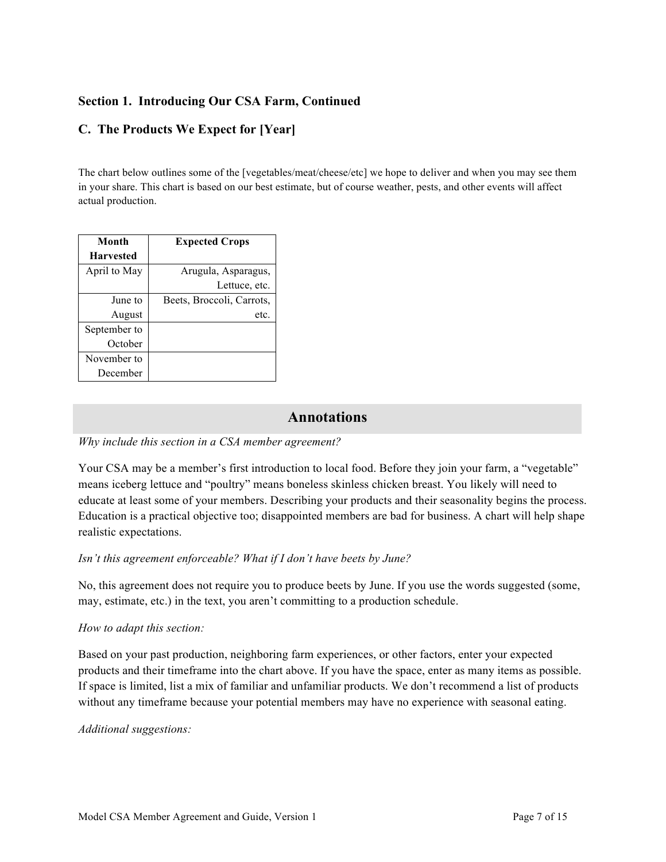# **Section 1. Introducing Our CSA Farm, Continued**

# **C. The Products We Expect for [Year]**

The chart below outlines some of the [vegetables/meat/cheese/etc] we hope to deliver and when you may see them in your share. This chart is based on our best estimate, but of course weather, pests, and other events will affect actual production.

| Month            | <b>Expected Crops</b>     |  |
|------------------|---------------------------|--|
| <b>Harvested</b> |                           |  |
| April to May     | Arugula, Asparagus,       |  |
|                  | Lettuce, etc.             |  |
| June to          | Beets, Broccoli, Carrots, |  |
| August           | etc.                      |  |
| September to     |                           |  |
| October          |                           |  |
| November to      |                           |  |
| December         |                           |  |

# **Annotations**

### *Why include this section in a CSA member agreement?*

Your CSA may be a member's first introduction to local food. Before they join your farm, a "vegetable" means iceberg lettuce and "poultry" means boneless skinless chicken breast. You likely will need to educate at least some of your members. Describing your products and their seasonality begins the process. Education is a practical objective too; disappointed members are bad for business. A chart will help shape realistic expectations.

### *Isn't this agreement enforceable? What if I don't have beets by June?*

No, this agreement does not require you to produce beets by June. If you use the words suggested (some, may, estimate, etc.) in the text, you aren't committing to a production schedule.

### *How to adapt this section:*

Based on your past production, neighboring farm experiences, or other factors, enter your expected products and their timeframe into the chart above. If you have the space, enter as many items as possible. If space is limited, list a mix of familiar and unfamiliar products. We don't recommend a list of products without any timeframe because your potential members may have no experience with seasonal eating.

### *Additional suggestions:*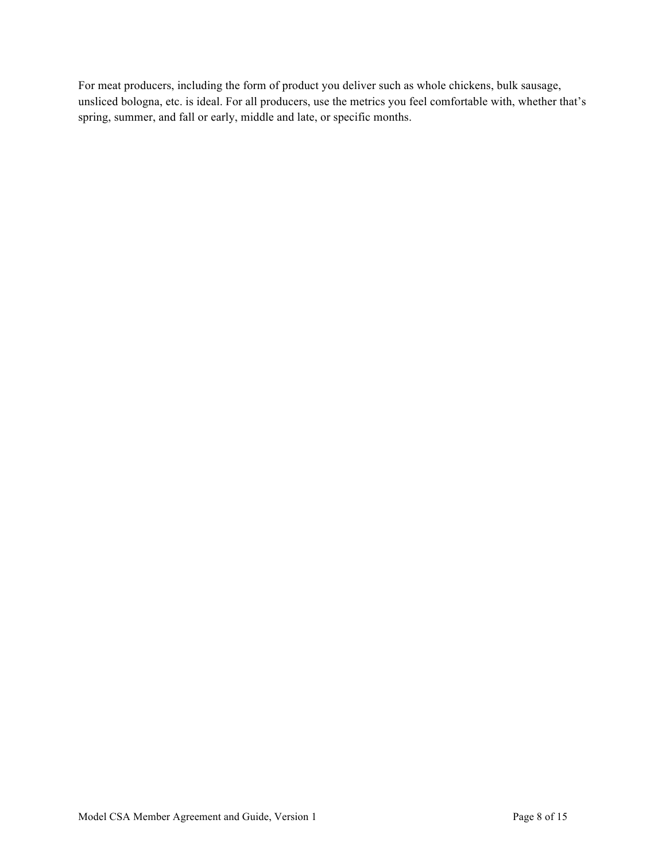For meat producers, including the form of product you deliver such as whole chickens, bulk sausage, unsliced bologna, etc. is ideal. For all producers, use the metrics you feel comfortable with, whether that's spring, summer, and fall or early, middle and late, or specific months.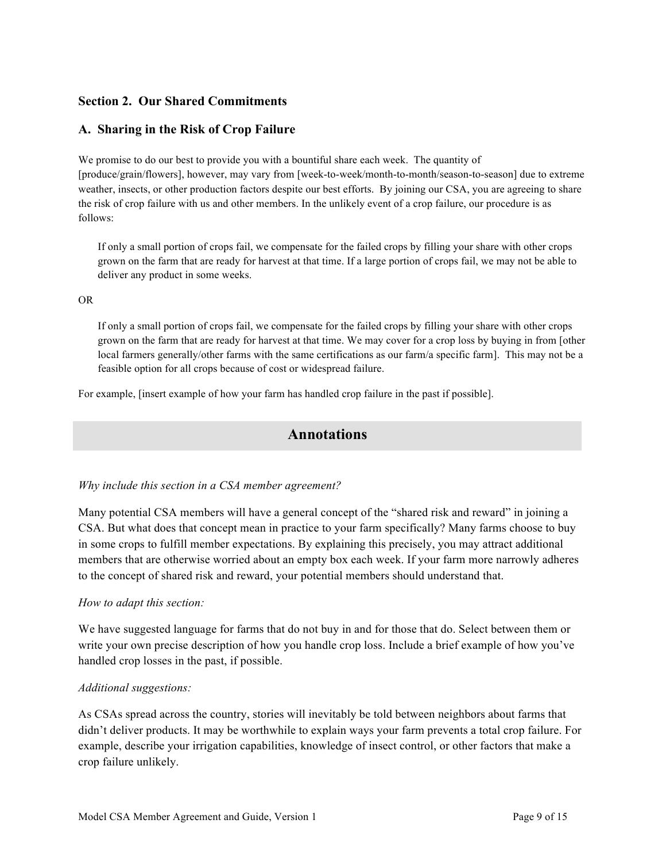# **Section 2. Our Shared Commitments**

### **A. Sharing in the Risk of Crop Failure**

We promise to do our best to provide you with a bountiful share each week. The quantity of [produce/grain/flowers], however, may vary from [week-to-week/month-to-month/season-to-season] due to extreme weather, insects, or other production factors despite our best efforts. By joining our CSA, you are agreeing to share the risk of crop failure with us and other members. In the unlikely event of a crop failure, our procedure is as follows:

If only a small portion of crops fail, we compensate for the failed crops by filling your share with other crops grown on the farm that are ready for harvest at that time. If a large portion of crops fail, we may not be able to deliver any product in some weeks.

#### OR

If only a small portion of crops fail, we compensate for the failed crops by filling your share with other crops grown on the farm that are ready for harvest at that time. We may cover for a crop loss by buying in from [other local farmers generally/other farms with the same certifications as our farm/a specific farm]. This may not be a feasible option for all crops because of cost or widespread failure.

For example, [insert example of how your farm has handled crop failure in the past if possible].

# **Annotations**

### *Why include this section in a CSA member agreement?*

Many potential CSA members will have a general concept of the "shared risk and reward" in joining a CSA. But what does that concept mean in practice to your farm specifically? Many farms choose to buy in some crops to fulfill member expectations. By explaining this precisely, you may attract additional members that are otherwise worried about an empty box each week. If your farm more narrowly adheres to the concept of shared risk and reward, your potential members should understand that.

### *How to adapt this section:*

We have suggested language for farms that do not buy in and for those that do. Select between them or write your own precise description of how you handle crop loss. Include a brief example of how you've handled crop losses in the past, if possible.

### *Additional suggestions:*

As CSAs spread across the country, stories will inevitably be told between neighbors about farms that didn't deliver products. It may be worthwhile to explain ways your farm prevents a total crop failure. For example, describe your irrigation capabilities, knowledge of insect control, or other factors that make a crop failure unlikely.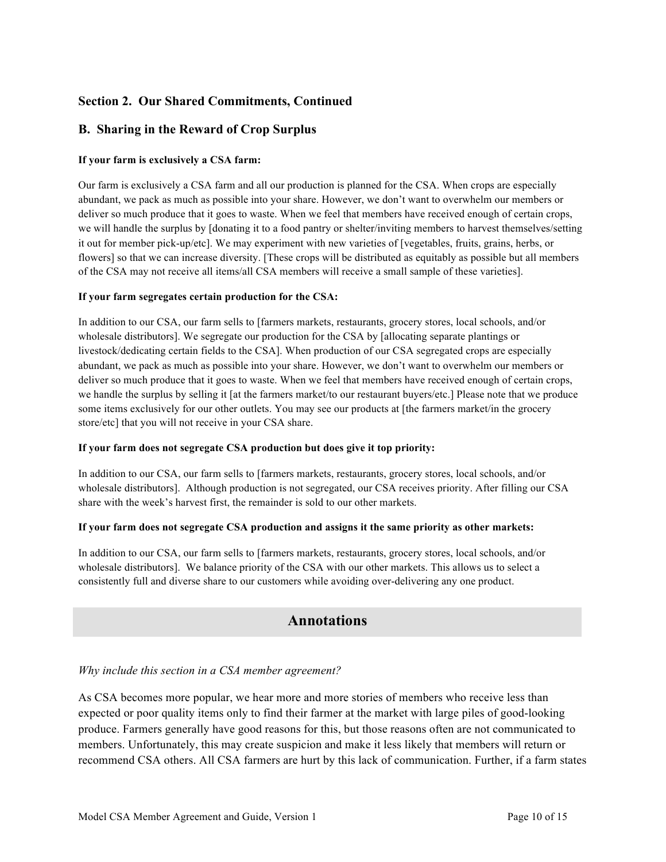# **Section 2. Our Shared Commitments, Continued**

# **B. Sharing in the Reward of Crop Surplus**

### **If your farm is exclusively a CSA farm:**

Our farm is exclusively a CSA farm and all our production is planned for the CSA. When crops are especially abundant, we pack as much as possible into your share. However, we don't want to overwhelm our members or deliver so much produce that it goes to waste. When we feel that members have received enough of certain crops, we will handle the surplus by [donating it to a food pantry or shelter/inviting members to harvest themselves/setting it out for member pick-up/etc]. We may experiment with new varieties of [vegetables, fruits, grains, herbs, or flowers] so that we can increase diversity. [These crops will be distributed as equitably as possible but all members of the CSA may not receive all items/all CSA members will receive a small sample of these varieties].

#### **If your farm segregates certain production for the CSA:**

In addition to our CSA, our farm sells to [farmers markets, restaurants, grocery stores, local schools, and/or wholesale distributors]. We segregate our production for the CSA by [allocating separate plantings or livestock/dedicating certain fields to the CSA]. When production of our CSA segregated crops are especially abundant, we pack as much as possible into your share. However, we don't want to overwhelm our members or deliver so much produce that it goes to waste. When we feel that members have received enough of certain crops, we handle the surplus by selling it [at the farmers market/to our restaurant buyers/etc.] Please note that we produce some items exclusively for our other outlets. You may see our products at [the farmers market/in the grocery store/etc] that you will not receive in your CSA share.

#### **If your farm does not segregate CSA production but does give it top priority:**

In addition to our CSA, our farm sells to [farmers markets, restaurants, grocery stores, local schools, and/or wholesale distributors]. Although production is not segregated, our CSA receives priority. After filling our CSA share with the week's harvest first, the remainder is sold to our other markets.

#### **If your farm does not segregate CSA production and assigns it the same priority as other markets:**

In addition to our CSA, our farm sells to [farmers markets, restaurants, grocery stores, local schools, and/or wholesale distributors]. We balance priority of the CSA with our other markets. This allows us to select a consistently full and diverse share to our customers while avoiding over-delivering any one product.

# **Annotations**

### *Why include this section in a CSA member agreement?*

As CSA becomes more popular, we hear more and more stories of members who receive less than expected or poor quality items only to find their farmer at the market with large piles of good-looking produce. Farmers generally have good reasons for this, but those reasons often are not communicated to members. Unfortunately, this may create suspicion and make it less likely that members will return or recommend CSA others. All CSA farmers are hurt by this lack of communication. Further, if a farm states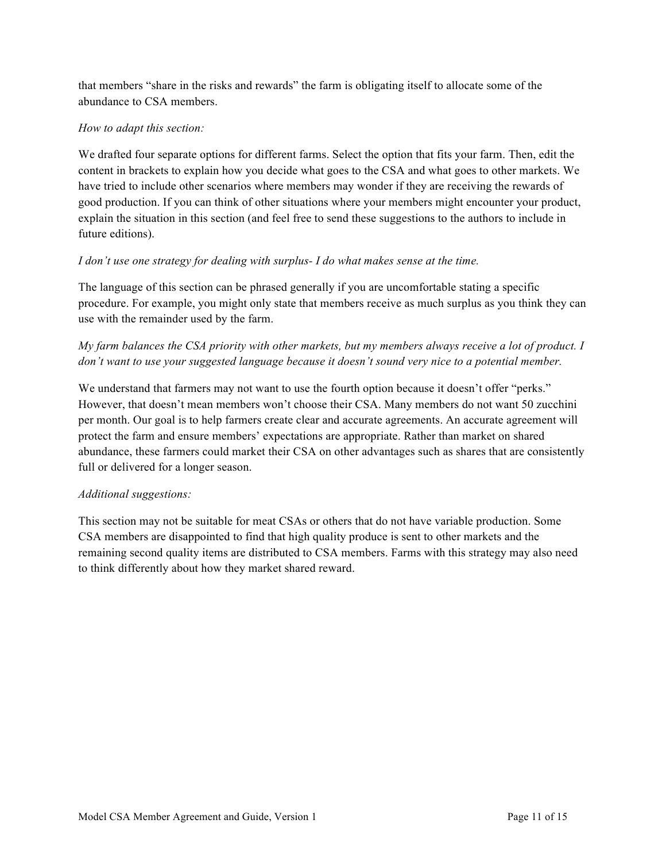that members "share in the risks and rewards" the farm is obligating itself to allocate some of the abundance to CSA members.

### *How to adapt this section:*

We drafted four separate options for different farms. Select the option that fits your farm. Then, edit the content in brackets to explain how you decide what goes to the CSA and what goes to other markets. We have tried to include other scenarios where members may wonder if they are receiving the rewards of good production. If you can think of other situations where your members might encounter your product, explain the situation in this section (and feel free to send these suggestions to the authors to include in future editions).

### *I don't use one strategy for dealing with surplus- I do what makes sense at the time.*

The language of this section can be phrased generally if you are uncomfortable stating a specific procedure. For example, you might only state that members receive as much surplus as you think they can use with the remainder used by the farm.

# *My farm balances the CSA priority with other markets, but my members always receive a lot of product. I don't want to use your suggested language because it doesn't sound very nice to a potential member.*

We understand that farmers may not want to use the fourth option because it doesn't offer "perks." However, that doesn't mean members won't choose their CSA. Many members do not want 50 zucchini per month. Our goal is to help farmers create clear and accurate agreements. An accurate agreement will protect the farm and ensure members' expectations are appropriate. Rather than market on shared abundance, these farmers could market their CSA on other advantages such as shares that are consistently full or delivered for a longer season.

### *Additional suggestions:*

This section may not be suitable for meat CSAs or others that do not have variable production. Some CSA members are disappointed to find that high quality produce is sent to other markets and the remaining second quality items are distributed to CSA members. Farms with this strategy may also need to think differently about how they market shared reward.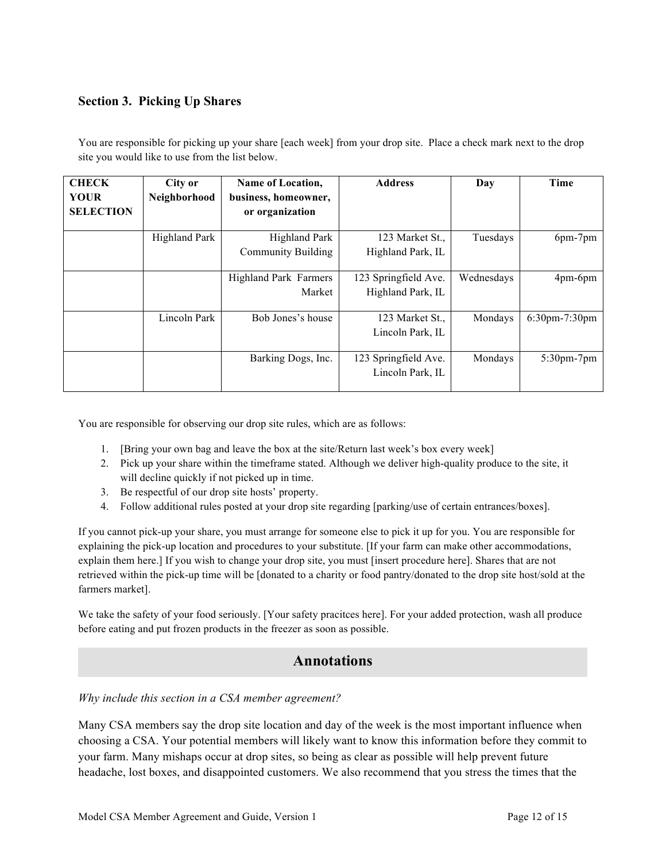# **Section 3. Picking Up Shares**

You are responsible for picking up your share [each week] from your drop site. Place a check mark next to the drop site you would like to use from the list below.

| <b>CHECK</b><br><b>YOUR</b><br><b>SELECTION</b> | City or<br>Neighborhood | Name of Location,<br>business, homeowner,<br>or organization | <b>Address</b>                            | Day        | Time                 |
|-------------------------------------------------|-------------------------|--------------------------------------------------------------|-------------------------------------------|------------|----------------------|
|                                                 | Highland Park           | <b>Highland Park</b><br><b>Community Building</b>            | 123 Market St.,<br>Highland Park, IL      | Tuesdays   | 6pm-7pm              |
|                                                 |                         | Highland Park Farmers<br>Market                              | 123 Springfield Ave.<br>Highland Park, IL | Wednesdays | 4pm-6pm              |
|                                                 | Lincoln Park            | Bob Jones's house                                            | 123 Market St.,<br>Lincoln Park, IL       | Mondays    | $6:30$ pm $-7:30$ pm |
|                                                 |                         | Barking Dogs, Inc.                                           | 123 Springfield Ave.<br>Lincoln Park, IL  | Mondays    | 5:30pm-7pm           |

You are responsible for observing our drop site rules, which are as follows:

- 1. [Bring your own bag and leave the box at the site/Return last week's box every week]
- 2. Pick up your share within the timeframe stated. Although we deliver high-quality produce to the site, it will decline quickly if not picked up in time.
- 3. Be respectful of our drop site hosts' property.
- 4. Follow additional rules posted at your drop site regarding [parking/use of certain entrances/boxes].

If you cannot pick-up your share, you must arrange for someone else to pick it up for you. You are responsible for explaining the pick-up location and procedures to your substitute. [If your farm can make other accommodations, explain them here.] If you wish to change your drop site, you must [insert procedure here]. Shares that are not retrieved within the pick-up time will be [donated to a charity or food pantry/donated to the drop site host/sold at the farmers market].

We take the safety of your food seriously. [Your safety pracities here]. For your added protection, wash all produce before eating and put frozen products in the freezer as soon as possible.

# **Annotations**

*Why include this section in a CSA member agreement?*

Many CSA members say the drop site location and day of the week is the most important influence when choosing a CSA. Your potential members will likely want to know this information before they commit to your farm. Many mishaps occur at drop sites, so being as clear as possible will help prevent future headache, lost boxes, and disappointed customers. We also recommend that you stress the times that the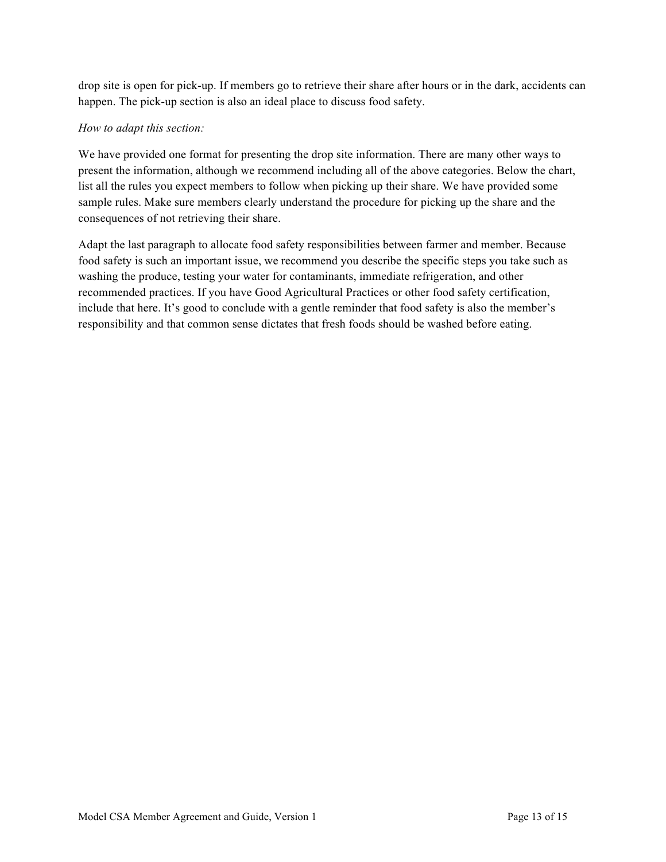drop site is open for pick-up. If members go to retrieve their share after hours or in the dark, accidents can happen. The pick-up section is also an ideal place to discuss food safety.

### *How to adapt this section:*

We have provided one format for presenting the drop site information. There are many other ways to present the information, although we recommend including all of the above categories. Below the chart, list all the rules you expect members to follow when picking up their share. We have provided some sample rules. Make sure members clearly understand the procedure for picking up the share and the consequences of not retrieving their share.

Adapt the last paragraph to allocate food safety responsibilities between farmer and member. Because food safety is such an important issue, we recommend you describe the specific steps you take such as washing the produce, testing your water for contaminants, immediate refrigeration, and other recommended practices. If you have Good Agricultural Practices or other food safety certification, include that here. It's good to conclude with a gentle reminder that food safety is also the member's responsibility and that common sense dictates that fresh foods should be washed before eating.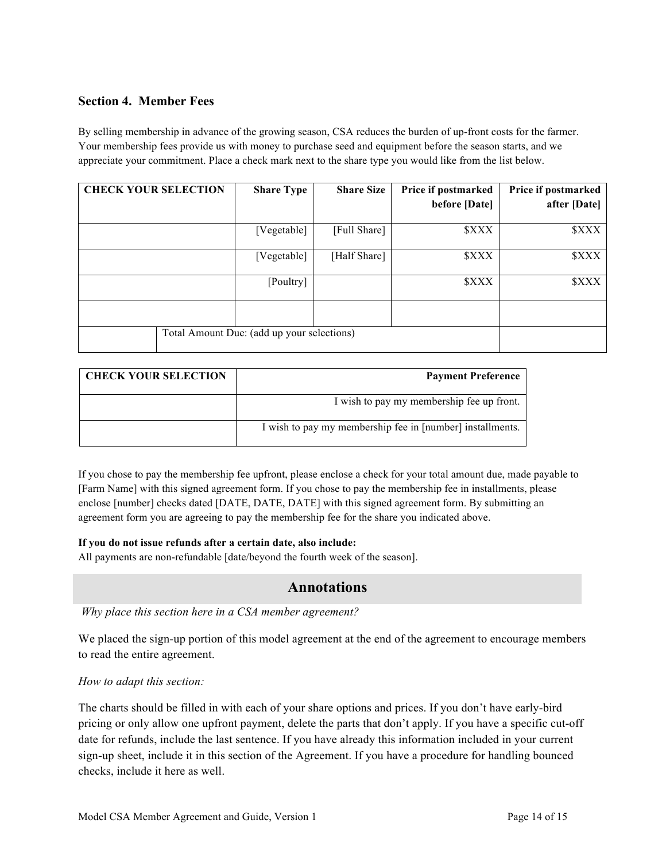### **Section 4. Member Fees**

By selling membership in advance of the growing season, CSA reduces the burden of up-front costs for the farmer. Your membership fees provide us with money to purchase seed and equipment before the season starts, and we appreciate your commitment. Place a check mark next to the share type you would like from the list below.

| <b>CHECK YOUR SELECTION</b> | <b>Share Type</b>                          | <b>Share Size</b> | Price if postmarked<br>before [Date] | Price if postmarked<br>after [Date] |
|-----------------------------|--------------------------------------------|-------------------|--------------------------------------|-------------------------------------|
|                             |                                            |                   |                                      |                                     |
|                             | [Vegetable]                                | [Full Share]      | <b><i>SXXX</i></b>                   | <b><i>SXXX</i></b>                  |
|                             | [Vegetable]                                | [Half Share]      | <b><i>SXXX</i></b>                   | <b><i>SXXX</i></b>                  |
|                             | [Poultry]                                  |                   | <b><i>SXXX</i></b>                   | <b><i>SXXX</i></b>                  |
|                             |                                            |                   |                                      |                                     |
|                             | Total Amount Due: (add up your selections) |                   |                                      |                                     |

| <b>CHECK YOUR SELECTION</b> | <b>Payment Preference</b>                                 |
|-----------------------------|-----------------------------------------------------------|
|                             | I wish to pay my membership fee up front.                 |
|                             | I wish to pay my membership fee in [number] installments. |

If you chose to pay the membership fee upfront, please enclose a check for your total amount due, made payable to [Farm Name] with this signed agreement form. If you chose to pay the membership fee in installments, please enclose [number] checks dated [DATE, DATE, DATE] with this signed agreement form. By submitting an agreement form you are agreeing to pay the membership fee for the share you indicated above.

### **If you do not issue refunds after a certain date, also include:**

All payments are non-refundable [date/beyond the fourth week of the season].

# **Annotations**

*Why place this section here in a CSA member agreement?*

We placed the sign-up portion of this model agreement at the end of the agreement to encourage members to read the entire agreement.

#### *How to adapt this section:*

The charts should be filled in with each of your share options and prices. If you don't have early-bird pricing or only allow one upfront payment, delete the parts that don't apply. If you have a specific cut-off date for refunds, include the last sentence. If you have already this information included in your current sign-up sheet, include it in this section of the Agreement. If you have a procedure for handling bounced checks, include it here as well.